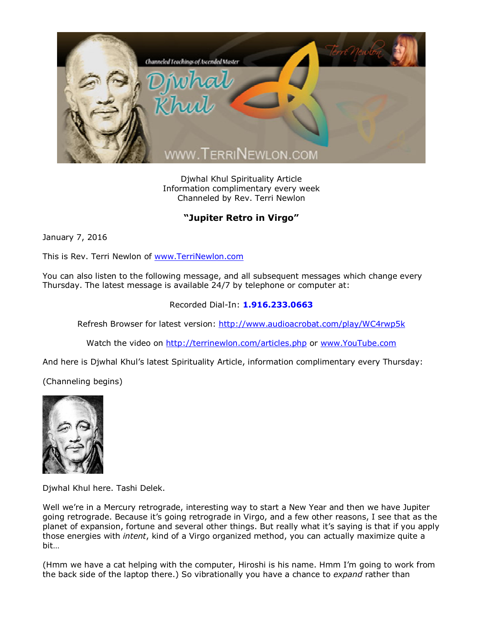

Djwhal Khul Spirituality Article Information complimentary every week Channeled by Rev. Terri Newlon

## **"Jupiter Retro in Virgo"**

January 7, 2016

This is Rev. Terri Newlon of [www.TerriNewlon.com](http://www.terrinewlon.com/)

You can also listen to the following message, and all subsequent messages which change every Thursday. The latest message is available 24/7 by telephone or computer at:

## Recorded Dial-In: **1.916.233.0663**

Refresh Browser for latest version: <http://www.audioacrobat.com/play/WC4rwp5k>

Watch the video on <http://terrinewlon.com/articles.php> or [www.YouTube.com](http://www.youtube.com/)

And here is Djwhal Khul's latest Spirituality Article, information complimentary every Thursday:

(Channeling begins)



Djwhal Khul here. Tashi Delek.

Well we're in a Mercury retrograde, interesting way to start a New Year and then we have Jupiter going retrograde. Because it's going retrograde in Virgo, and a few other reasons, I see that as the planet of expansion, fortune and several other things. But really what it's saying is that if you apply those energies with *intent*, kind of a Virgo organized method, you can actually maximize quite a bit…

(Hmm we have a cat helping with the computer, Hiroshi is his name. Hmm I'm going to work from the back side of the laptop there.) So vibrationally you have a chance to *expand* rather than